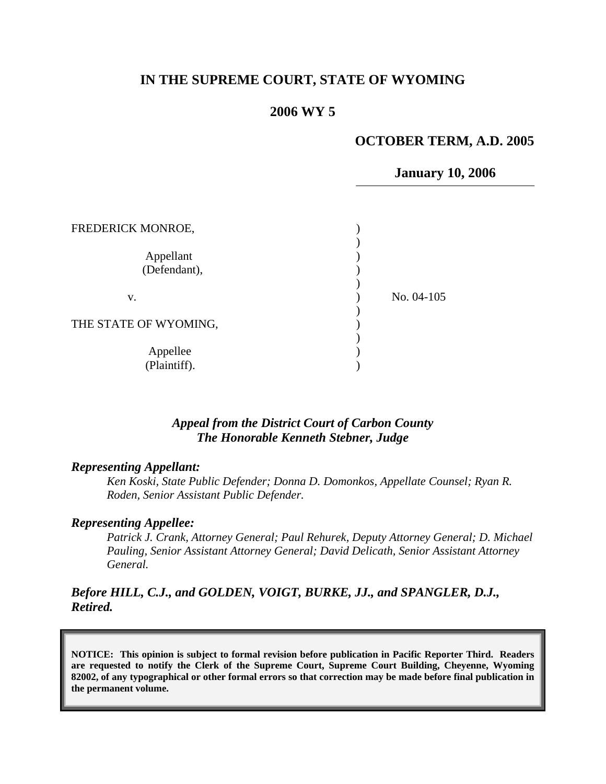# **IN THE SUPREME COURT, STATE OF WYOMING**

#### **2006 WY 5**

#### **OCTOBER TERM, A.D. 2005**

#### **January 10, 2006**

| FREDERICK MONROE,         |              |
|---------------------------|--------------|
| Appellant<br>(Defendant), |              |
| v.                        | No. $04-105$ |
| THE STATE OF WYOMING,     |              |
| Appellee<br>(Plaintiff).  |              |

### *Appeal from the District Court of Carbon County The Honorable Kenneth Stebner, Judge*

#### *Representing Appellant:*

*Ken Koski, State Public Defender; Donna D. Domonkos, Appellate Counsel; Ryan R. Roden, Senior Assistant Public Defender.* 

#### *Representing Appellee:*

*Patrick J. Crank, Attorney General; Paul Rehurek, Deputy Attorney General; D. Michael Pauling, Senior Assistant Attorney General; David Delicath, Senior Assistant Attorney General.* 

## *Before HILL, C.J., and GOLDEN, VOIGT, BURKE, JJ., and SPANGLER, D.J., Retired.*

**NOTICE: This opinion is subject to formal revision before publication in Pacific Reporter Third. Readers are requested to notify the Clerk of the Supreme Court, Supreme Court Building, Cheyenne, Wyoming 82002, of any typographical or other formal errors so that correction may be made before final publication in the permanent volume.**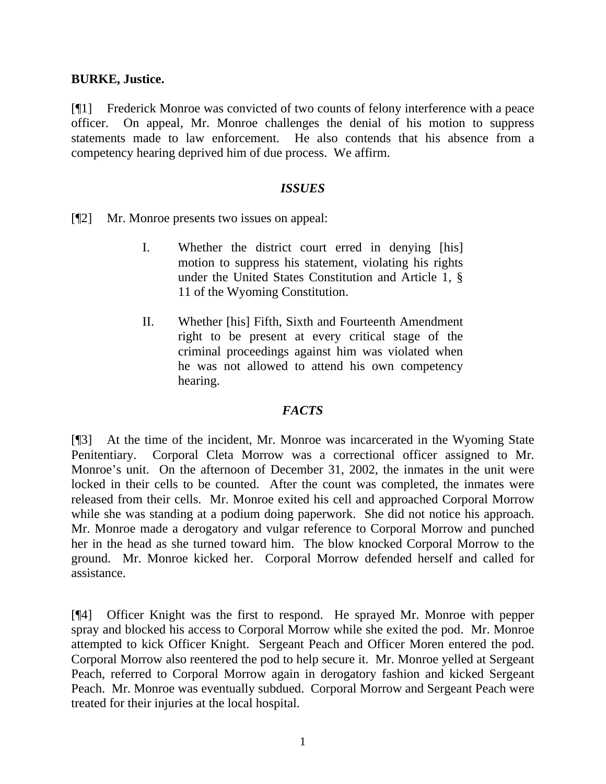### **BURKE, Justice.**

[¶1] Frederick Monroe was convicted of two counts of felony interference with a peace officer. On appeal, Mr. Monroe challenges the denial of his motion to suppress statements made to law enforcement. He also contends that his absence from a competency hearing deprived him of due process. We affirm.

### *ISSUES*

[¶2] Mr. Monroe presents two issues on appeal:

- I. Whether the district court erred in denying [his] motion to suppress his statement, violating his rights under the United States Constitution and Article 1, § 11 of the Wyoming Constitution.
- II. Whether [his] Fifth, Sixth and Fourteenth Amendment right to be present at every critical stage of the criminal proceedings against him was violated when he was not allowed to attend his own competency hearing.

# *FACTS*

[¶3] At the time of the incident, Mr. Monroe was incarcerated in the Wyoming State Penitentiary. Corporal Cleta Morrow was a correctional officer assigned to Mr. Monroe's unit. On the afternoon of December 31, 2002, the inmates in the unit were locked in their cells to be counted. After the count was completed, the inmates were released from their cells. Mr. Monroe exited his cell and approached Corporal Morrow while she was standing at a podium doing paperwork. She did not notice his approach. Mr. Monroe made a derogatory and vulgar reference to Corporal Morrow and punched her in the head as she turned toward him. The blow knocked Corporal Morrow to the ground. Mr. Monroe kicked her. Corporal Morrow defended herself and called for assistance.

[¶4] Officer Knight was the first to respond. He sprayed Mr. Monroe with pepper spray and blocked his access to Corporal Morrow while she exited the pod. Mr. Monroe attempted to kick Officer Knight. Sergeant Peach and Officer Moren entered the pod. Corporal Morrow also reentered the pod to help secure it. Mr. Monroe yelled at Sergeant Peach, referred to Corporal Morrow again in derogatory fashion and kicked Sergeant Peach. Mr. Monroe was eventually subdued. Corporal Morrow and Sergeant Peach were treated for their injuries at the local hospital.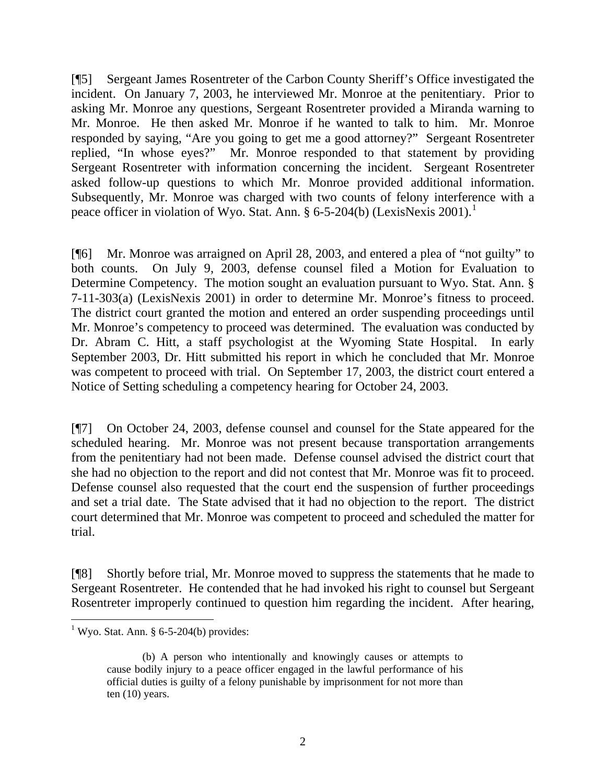[¶5] Sergeant James Rosentreter of the Carbon County Sheriff's Office investigated the incident. On January 7, 2003, he interviewed Mr. Monroe at the penitentiary. Prior to asking Mr. Monroe any questions, Sergeant Rosentreter provided a Miranda warning to Mr. Monroe. He then asked Mr. Monroe if he wanted to talk to him. Mr. Monroe responded by saying, "Are you going to get me a good attorney?" Sergeant Rosentreter replied, "In whose eyes?" Mr. Monroe responded to that statement by providing Sergeant Rosentreter with information concerning the incident. Sergeant Rosentreter asked follow-up questions to which Mr. Monroe provided additional information. Subsequently, Mr. Monroe was charged with two counts of felony interference with a peace officer in violation of Wyo. Stat. Ann.  $\S 6$ -5-204(b) (LexisNexis 200[1](#page-2-0)).<sup>1</sup>

[¶6] Mr. Monroe was arraigned on April 28, 2003, and entered a plea of "not guilty" to both counts. On July 9, 2003, defense counsel filed a Motion for Evaluation to Determine Competency. The motion sought an evaluation pursuant to Wyo. Stat. Ann. § 7-11-303(a) (LexisNexis 2001) in order to determine Mr. Monroe's fitness to proceed. The district court granted the motion and entered an order suspending proceedings until Mr. Monroe's competency to proceed was determined. The evaluation was conducted by Dr. Abram C. Hitt, a staff psychologist at the Wyoming State Hospital. In early September 2003, Dr. Hitt submitted his report in which he concluded that Mr. Monroe was competent to proceed with trial. On September 17, 2003, the district court entered a Notice of Setting scheduling a competency hearing for October 24, 2003.

[¶7] On October 24, 2003, defense counsel and counsel for the State appeared for the scheduled hearing. Mr. Monroe was not present because transportation arrangements from the penitentiary had not been made. Defense counsel advised the district court that she had no objection to the report and did not contest that Mr. Monroe was fit to proceed. Defense counsel also requested that the court end the suspension of further proceedings and set a trial date. The State advised that it had no objection to the report. The district court determined that Mr. Monroe was competent to proceed and scheduled the matter for trial.

[¶8] Shortly before trial, Mr. Monroe moved to suppress the statements that he made to Sergeant Rosentreter. He contended that he had invoked his right to counsel but Sergeant Rosentreter improperly continued to question him regarding the incident. After hearing,

<span id="page-2-0"></span> $\overline{a}$ <sup>1</sup> Wyo. Stat. Ann. § 6-5-204(b) provides:

<sup>(</sup>b) A person who intentionally and knowingly causes or attempts to cause bodily injury to a peace officer engaged in the lawful performance of his official duties is guilty of a felony punishable by imprisonment for not more than ten (10) years.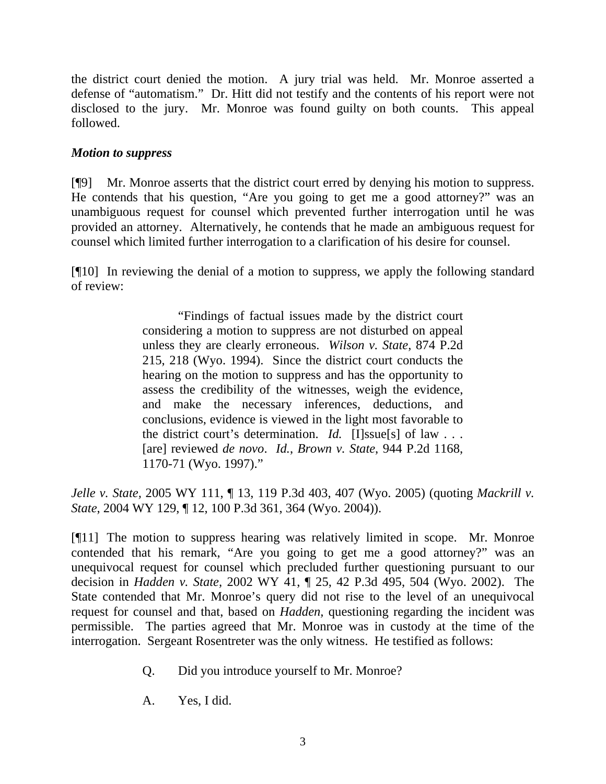the district court denied the motion. A jury trial was held. Mr. Monroe asserted a defense of "automatism." Dr. Hitt did not testify and the contents of his report were not disclosed to the jury. Mr. Monroe was found guilty on both counts. This appeal followed.

# *Motion to suppress*

[¶9] Mr. Monroe asserts that the district court erred by denying his motion to suppress. He contends that his question, "Are you going to get me a good attorney?" was an unambiguous request for counsel which prevented further interrogation until he was provided an attorney. Alternatively, he contends that he made an ambiguous request for counsel which limited further interrogation to a clarification of his desire for counsel.

[¶10] In reviewing the denial of a motion to suppress, we apply the following standard of review:

> "Findings of factual issues made by the district court considering a motion to suppress are not disturbed on appeal unless they are clearly erroneous. *Wilson v. State*, 874 P.2d 215, 218 (Wyo. 1994). Since the district court conducts the hearing on the motion to suppress and has the opportunity to assess the credibility of the witnesses, weigh the evidence, and make the necessary inferences, deductions, and conclusions, evidence is viewed in the light most favorable to the district court's determination. *Id.* [I]ssue[s] of law . . . [are] reviewed *de novo*. *Id.*, *Brown v. State*, 944 P.2d 1168, 1170-71 (Wyo. 1997)."

*Jelle v. State,* 2005 WY 111, ¶ 13, 119 P.3d 403, 407 (Wyo. 2005) (quoting *[Mackrill v.](http://www.lexis.com/research/buttonTFLink?_m=b76abe8e3f0c796c4770e1a17486f4bc&_xfercite=%3ccite%20cc%3d%22USA%22%3e%3c%21%5bCDATA%5b2005%20WY%20111%5d%5d%3e%3c%2fcite%3e&_butType=3&_butStat=2&_butNum=6&_butInline=1&_butinfo=%3ccite%20cc%3d%22USA%22%3e%3c%21%5bCDATA%5b100%20P.3d%20361%2cat%20364%5d%5d%3e%3c%2fcite%3e&_fmtstr=FULL&docnum=1&_startdoc=1&wchp=dGLbVzb-zSkAW&_md5=089df16c90b34a786e8a0097e2f3be2f)  State*[, 2004 WY 129, ¶ 12, 100 P.3d 361, 364 \(Wyo. 2004\)](http://www.lexis.com/research/buttonTFLink?_m=b76abe8e3f0c796c4770e1a17486f4bc&_xfercite=%3ccite%20cc%3d%22USA%22%3e%3c%21%5bCDATA%5b2005%20WY%20111%5d%5d%3e%3c%2fcite%3e&_butType=3&_butStat=2&_butNum=6&_butInline=1&_butinfo=%3ccite%20cc%3d%22USA%22%3e%3c%21%5bCDATA%5b100%20P.3d%20361%2cat%20364%5d%5d%3e%3c%2fcite%3e&_fmtstr=FULL&docnum=1&_startdoc=1&wchp=dGLbVzb-zSkAW&_md5=089df16c90b34a786e8a0097e2f3be2f)).

[¶11] The motion to suppress hearing was relatively limited in scope. Mr. Monroe contended that his remark, "Are you going to get me a good attorney?" was an unequivocal request for counsel which precluded further questioning pursuant to our decision in *Hadden v. State,* 2002 WY 41, ¶ 25, 42 P.3d 495, 504 (Wyo. 2002). The State contended that Mr. Monroe's query did not rise to the level of an unequivocal request for counsel and that, based on *Hadden,* questioning regarding the incident was permissible. The parties agreed that Mr. Monroe was in custody at the time of the interrogation. Sergeant Rosentreter was the only witness. He testified as follows:

- Q. Did you introduce yourself to Mr. Monroe?
- A. Yes, I did.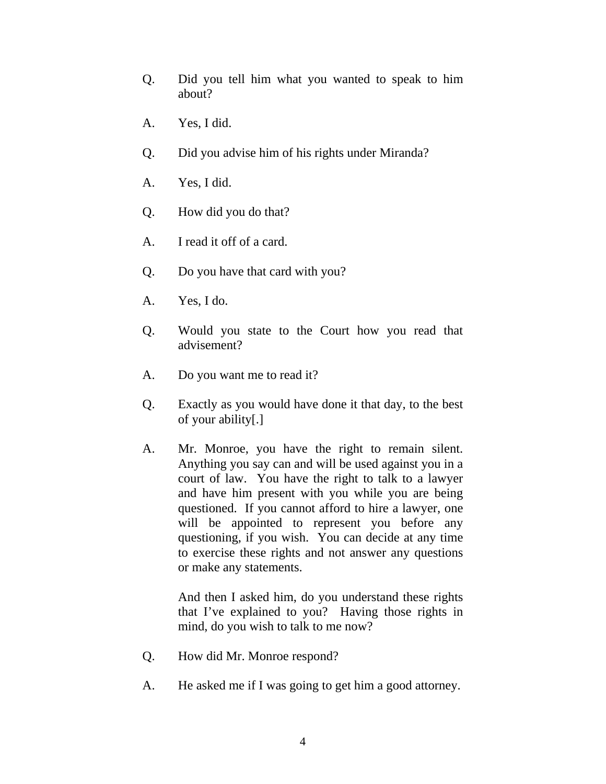- Q. Did you tell him what you wanted to speak to him about?
- A. Yes, I did.
- Q. Did you advise him of his rights under Miranda?
- A. Yes, I did.
- Q. How did you do that?
- A. I read it off of a card.
- Q. Do you have that card with you?
- A. Yes, I do.
- Q. Would you state to the Court how you read that advisement?
- A. Do you want me to read it?
- Q. Exactly as you would have done it that day, to the best of your ability[.]
- A. Mr. Monroe, you have the right to remain silent. Anything you say can and will be used against you in a court of law. You have the right to talk to a lawyer and have him present with you while you are being questioned. If you cannot afford to hire a lawyer, one will be appointed to represent you before any questioning, if you wish. You can decide at any time to exercise these rights and not answer any questions or make any statements.

 And then I asked him, do you understand these rights that I've explained to you? Having those rights in mind, do you wish to talk to me now?

- Q. How did Mr. Monroe respond?
- A. He asked me if I was going to get him a good attorney.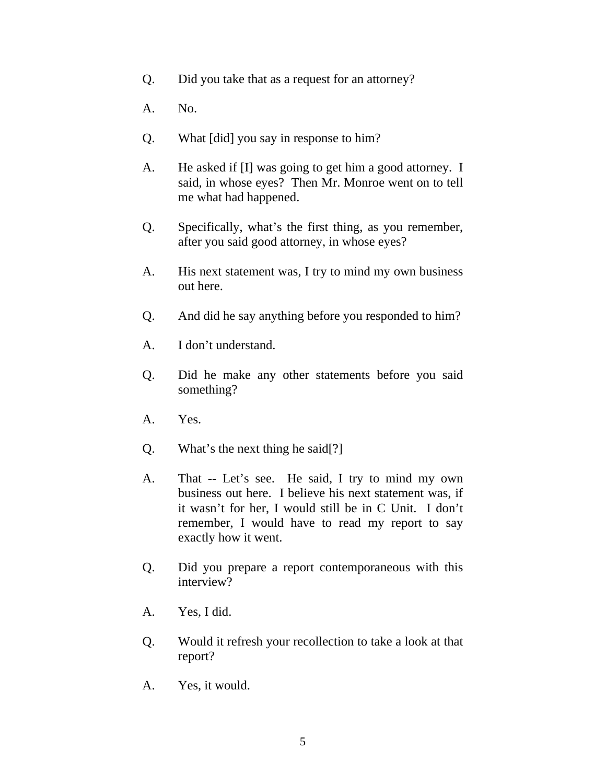- Q. Did you take that as a request for an attorney?
- A. No.
- Q. What [did] you say in response to him?
- A. He asked if [I] was going to get him a good attorney. I said, in whose eyes? Then Mr. Monroe went on to tell me what had happened.
- Q. Specifically, what's the first thing, as you remember, after you said good attorney, in whose eyes?
- A. His next statement was, I try to mind my own business out here.
- Q. And did he say anything before you responded to him?
- A. I don't understand.
- Q. Did he make any other statements before you said something?
- A. Yes.
- Q. What's the next thing he said[?]
- A. That -- Let's see. He said, I try to mind my own business out here. I believe his next statement was, if it wasn't for her, I would still be in C Unit. I don't remember, I would have to read my report to say exactly how it went.
- Q. Did you prepare a report contemporaneous with this interview?
- A. Yes, I did.
- Q. Would it refresh your recollection to take a look at that report?
- A. Yes, it would.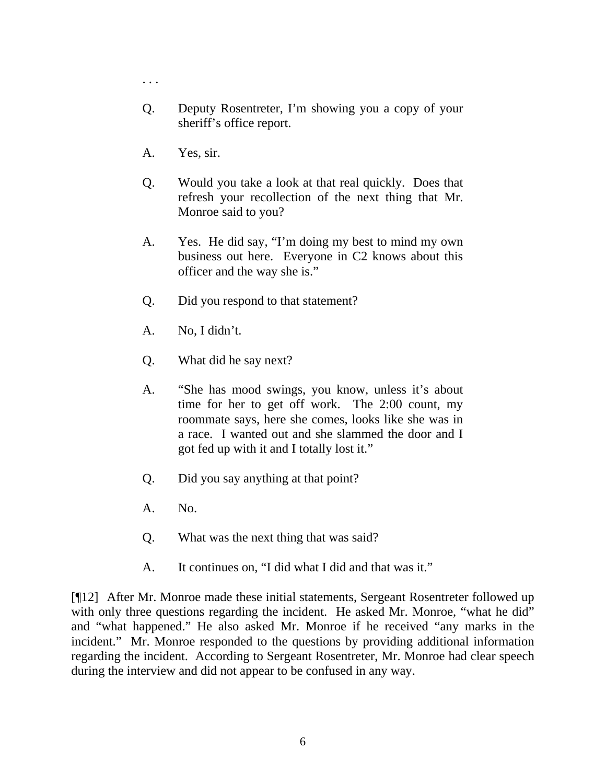- . . .
- Q. Deputy Rosentreter, I'm showing you a copy of your sheriff's office report.
- A. Yes, sir.
- Q. Would you take a look at that real quickly. Does that refresh your recollection of the next thing that Mr. Monroe said to you?
- A. Yes. He did say, "I'm doing my best to mind my own business out here. Everyone in C2 knows about this officer and the way she is."
- Q. Did you respond to that statement?
- A. No, I didn't.
- Q. What did he say next?
- A. "She has mood swings, you know, unless it's about time for her to get off work. The 2:00 count, my roommate says, here she comes, looks like she was in a race. I wanted out and she slammed the door and I got fed up with it and I totally lost it."
- Q. Did you say anything at that point?
- A. No.
- Q. What was the next thing that was said?
- A. It continues on, "I did what I did and that was it."

[¶12] After Mr. Monroe made these initial statements, Sergeant Rosentreter followed up with only three questions regarding the incident. He asked Mr. Monroe, "what he did" and "what happened." He also asked Mr. Monroe if he received "any marks in the incident." Mr. Monroe responded to the questions by providing additional information regarding the incident. According to Sergeant Rosentreter, Mr. Monroe had clear speech during the interview and did not appear to be confused in any way.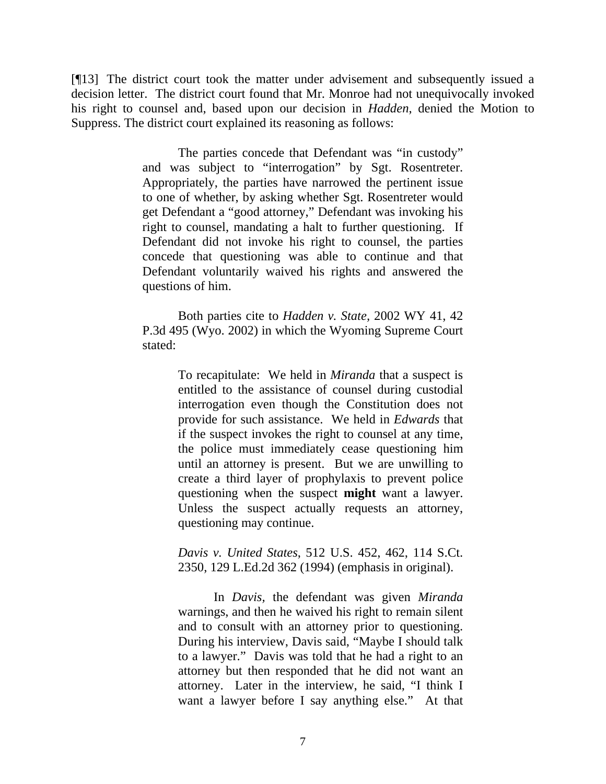[¶13] The district court took the matter under advisement and subsequently issued a decision letter. The district court found that Mr. Monroe had not unequivocally invoked his right to counsel and, based upon our decision in *Hadden*, denied the Motion to Suppress. The district court explained its reasoning as follows:

> The parties concede that Defendant was "in custody" and was subject to "interrogation" by Sgt. Rosentreter. Appropriately, the parties have narrowed the pertinent issue to one of whether, by asking whether Sgt. Rosentreter would get Defendant a "good attorney," Defendant was invoking his right to counsel, mandating a halt to further questioning. If Defendant did not invoke his right to counsel, the parties concede that questioning was able to continue and that Defendant voluntarily waived his rights and answered the questions of him.

> Both parties cite to *Hadden v. State,* 2002 WY 41, 42 P.3d 495 (Wyo. 2002) in which the Wyoming Supreme Court stated:

> > To recapitulate: We held in *Miranda* that a suspect is entitled to the assistance of counsel during custodial interrogation even though the Constitution does not provide for such assistance. We held in *Edwards* that if the suspect invokes the right to counsel at any time, the police must immediately cease questioning him until an attorney is present. But we are unwilling to create a third layer of prophylaxis to prevent police questioning when the suspect **might** want a lawyer. Unless the suspect actually requests an attorney, questioning may continue.

> > *Davis v. United States*, 512 U.S. 452, 462, 114 S.Ct. 2350, 129 L.Ed.2d 362 (1994) (emphasis in original).

> > In *Davis,* the defendant was given *Miranda* warnings, and then he waived his right to remain silent and to consult with an attorney prior to questioning. During his interview, Davis said, "Maybe I should talk to a lawyer." Davis was told that he had a right to an attorney but then responded that he did not want an attorney. Later in the interview, he said, "I think I want a lawyer before I say anything else." At that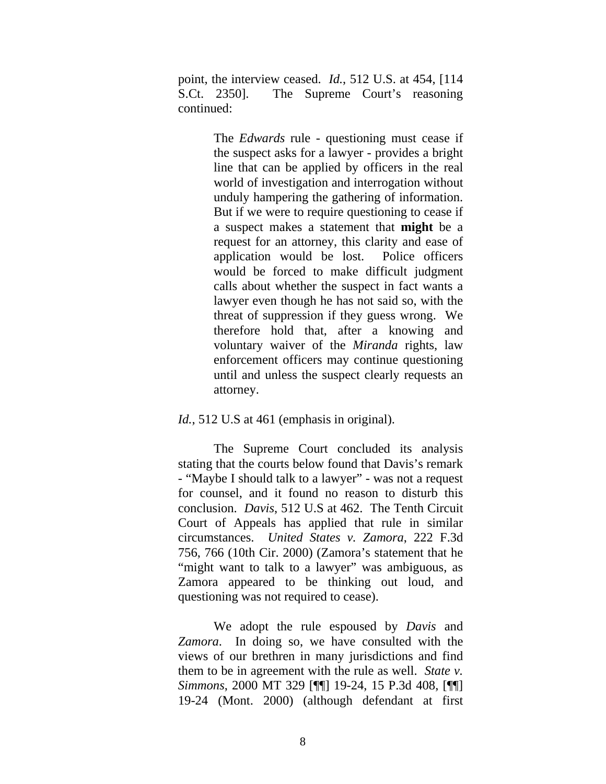point, the interview ceased. *Id.*, 512 U.S. at 454, [114 S.Ct. 2350]. The Supreme Court's reasoning continued:

> The *Edwards* rule - questioning must cease if the suspect asks for a lawyer - provides a bright line that can be applied by officers in the real world of investigation and interrogation without unduly hampering the gathering of information. But if we were to require questioning to cease if a suspect makes a statement that **might** be a request for an attorney, this clarity and ease of application would be lost. Police officers would be forced to make difficult judgment calls about whether the suspect in fact wants a lawyer even though he has not said so, with the threat of suppression if they guess wrong. We therefore hold that, after a knowing and voluntary waiver of the *Miranda* rights, law enforcement officers may continue questioning until and unless the suspect clearly requests an attorney.

#### *Id.*, 512 U.S at 461 (emphasis in original).

The Supreme Court concluded its analysis stating that the courts below found that Davis's remark - "Maybe I should talk to a lawyer" - was not a request for counsel, and it found no reason to disturb this conclusion. *Davis*, 512 U.S at 462. The Tenth Circuit Court of Appeals has applied that rule in similar circumstances. *United States v. Zamora*, 222 F.3d 756, 766 (10th Cir. 2000) (Zamora's statement that he "might want to talk to a lawyer" was ambiguous, as Zamora appeared to be thinking out loud, and questioning was not required to cease).

We adopt the rule espoused by *Davis* and *Zamora*. In doing so, we have consulted with the views of our brethren in many jurisdictions and find them to be in agreement with the rule as well. *State v. Simmons*, 2000 MT 329 [¶¶] 19-24, 15 P.3d 408, [¶¶] 19-24 (Mont. 2000) (although defendant at first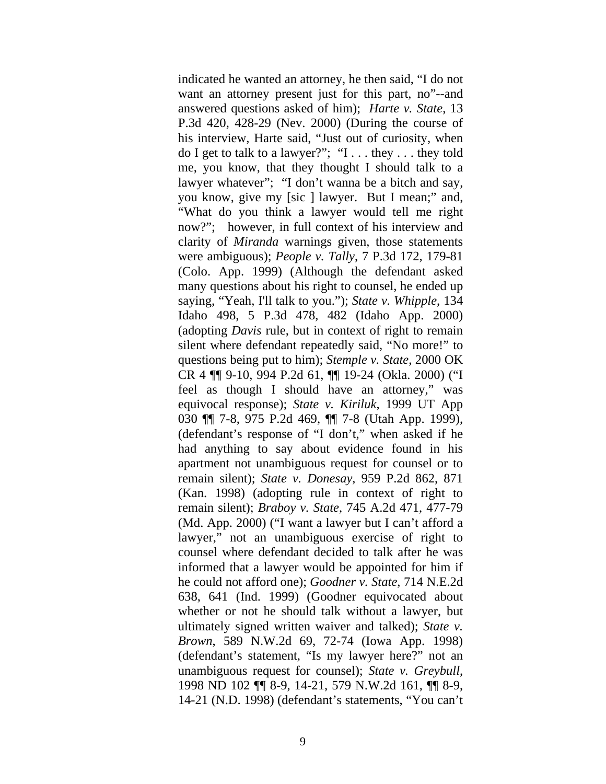indicated he wanted an attorney, he then said, "I do not want an attorney present just for this part, no"--and answered questions asked of him); *Harte v. State*, 13 P.3d 420, 428-29 (Nev. 2000) (During the course of his interview, Harte said, "Just out of curiosity, when do I get to talk to a lawyer?"; "I . . . they . . . they told me, you know, that they thought I should talk to a lawyer whatever"; "I don't wanna be a bitch and say, you know, give my [sic ] lawyer. But I mean;" and, "What do you think a lawyer would tell me right now?"; however, in full context of his interview and clarity of *Miranda* warnings given, those statements were ambiguous); *People v. Tally*, 7 P.3d 172, 179-81 (Colo. App. 1999) (Although the defendant asked many questions about his right to counsel, he ended up saying, "Yeah, I'll talk to you."); *State v. Whipple*, 134 Idaho 498, 5 P.3d 478, 482 (Idaho App. 2000) (adopting *Davis* rule, but in context of right to remain silent where defendant repeatedly said, "No more!" to questions being put to him); *Stemple v. State*, 2000 OK CR 4 ¶¶ 9-10, 994 P.2d 61, ¶¶ 19-24 (Okla. 2000) ("I feel as though I should have an attorney," was equivocal response); *State v. Kiriluk*, 1999 UT App 030 ¶¶ 7-8, 975 P.2d 469, ¶¶ 7-8 (Utah App. 1999), (defendant's response of "I don't," when asked if he had anything to say about evidence found in his apartment not unambiguous request for counsel or to remain silent); *State v. Donesay*, 959 P.2d 862, 871 (Kan. 1998) (adopting rule in context of right to remain silent); *Braboy v. State*, 745 A.2d 471, 477-79 (Md. App. 2000) ("I want a lawyer but I can't afford a lawyer," not an unambiguous exercise of right to counsel where defendant decided to talk after he was informed that a lawyer would be appointed for him if he could not afford one); *Goodner v. State*, 714 N.E.2d 638, 641 (Ind. 1999) (Goodner equivocated about whether or not he should talk without a lawyer, but ultimately signed written waiver and talked); *State v. Brown*, 589 N.W.2d 69, 72-74 (Iowa App. 1998) (defendant's statement, "Is my lawyer here?" not an unambiguous request for counsel); *State v. Greybull*, 1998 ND 102 ¶¶ 8-9, 14-21, 579 N.W.2d 161, ¶¶ 8-9, 14-21 (N.D. 1998) (defendant's statements, "You can't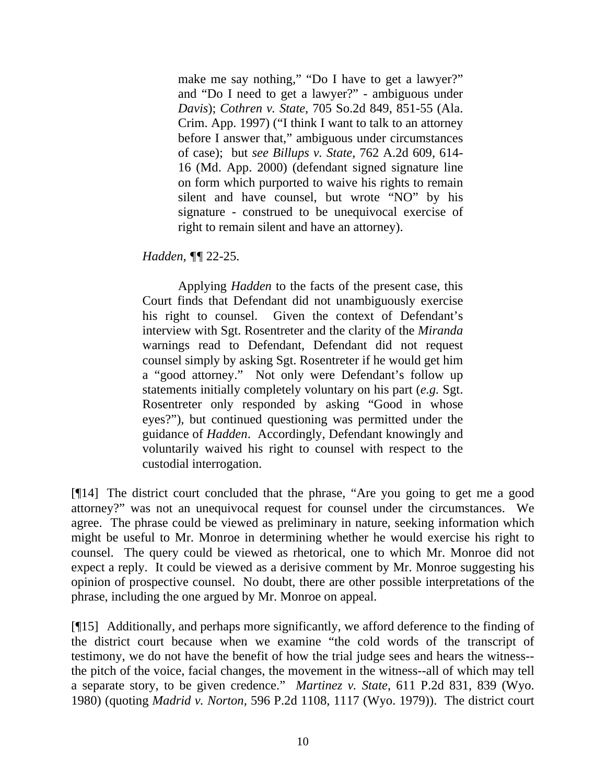make me say nothing," "Do I have to get a lawyer?" and "Do I need to get a lawyer?" - ambiguous under *Davis*); *Cothren v. State*, 705 So.2d 849, 851-55 (Ala. Crim. App. 1997) ("I think I want to talk to an attorney before I answer that," ambiguous under circumstances of case); but *see Billups v. State*, 762 A.2d 609, 614- 16 (Md. App. 2000) (defendant signed signature line on form which purported to waive his rights to remain silent and have counsel, but wrote "NO" by his signature - construed to be unequivocal exercise of right to remain silent and have an attorney).

## *Hadden, ¶¶* 22-25.

Applying *Hadden* to the facts of the present case, this Court finds that Defendant did not unambiguously exercise his right to counsel. Given the context of Defendant's interview with Sgt. Rosentreter and the clarity of the *Miranda*  warnings read to Defendant, Defendant did not request counsel simply by asking Sgt. Rosentreter if he would get him a "good attorney." Not only were Defendant's follow up statements initially completely voluntary on his part (*e.g.* Sgt. Rosentreter only responded by asking "Good in whose eyes?"), but continued questioning was permitted under the guidance of *Hadden*. Accordingly, Defendant knowingly and voluntarily waived his right to counsel with respect to the custodial interrogation.

[¶14] The district court concluded that the phrase, "Are you going to get me a good attorney?" was not an unequivocal request for counsel under the circumstances. We agree. The phrase could be viewed as preliminary in nature, seeking information which might be useful to Mr. Monroe in determining whether he would exercise his right to counsel. The query could be viewed as rhetorical, one to which Mr. Monroe did not expect a reply. It could be viewed as a derisive comment by Mr. Monroe suggesting his opinion of prospective counsel. No doubt, there are other possible interpretations of the phrase, including the one argued by Mr. Monroe on appeal.

[¶15] Additionally, and perhaps more significantly, we afford deference to the finding of the district court because when we examine "the cold words of the transcript of testimony, we do not have the benefit of how the trial judge sees and hears the witness- the pitch of the voice, facial changes, the movement in the witness--all of which may tell a separate story, to be given credence." *Martinez v. State*, 611 P.2d 831, 839 (Wyo. 1980) (quoting *Madrid v. Norton,* 596 P.2d 1108, 1117 (Wyo. 1979)). The district court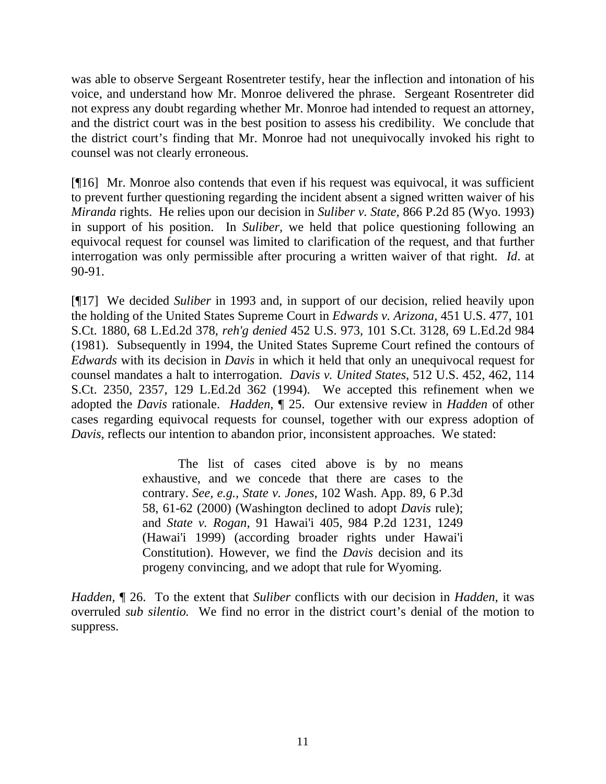was able to observe Sergeant Rosentreter testify, hear the inflection and intonation of his voice, and understand how Mr. Monroe delivered the phrase. Sergeant Rosentreter did not express any doubt regarding whether Mr. Monroe had intended to request an attorney, and the district court was in the best position to assess his credibility. We conclude that the district court's finding that Mr. Monroe had not unequivocally invoked his right to counsel was not clearly erroneous.

[¶16] Mr. Monroe also contends that even if his request was equivocal, it was sufficient to prevent further questioning regarding the incident absent a signed written waiver of his *Miranda* rights. He relies upon our decision in *Suliber v. State,* 866 P.2d 85 (Wyo. 1993) in support of his position. In *Suliber,* we held that police questioning following an equivocal request for counsel was limited to clarification of the request, and that further interrogation was only permissible after procuring a written waiver of that right. *Id*. at 90-91.

[¶17] We decided *Suliber* in 1993 and, in support of our decision, relied heavily upon the holding of the United States Supreme Court in *Edwards v. Arizona*, 451 U.S. 477, 101 S.Ct. 1880, 68 L.Ed.2d 378, *reh'g denied* 452 U.S. 973, 101 S.Ct. 3128, 69 L.Ed.2d 984 (1981). Subsequently in 1994, the United States Supreme Court refined the contours of *Edwards* with its decision in *Davis* in which it held that only an unequivocal request for counsel mandates a halt to interrogation. *Davis v. United States*, 512 U.S. 452, 462, 114 S.Ct. 2350, 2357, 129 L.Ed.2d 362 (1994). We accepted this refinement when we adopted the *Davis* rationale. *Hadden*, ¶ 25. Our extensive review in *Hadden* of other cases regarding equivocal requests for counsel, together with our express adoption of *Davis,* reflects our intention to abandon prior, inconsistent approaches. We stated:

> The list of cases cited above is by no means exhaustive, and we concede that there are cases to the contrary. *See, e.g., State v. Jones*[, 102 Wash. App. 89, 6 P.3d](http://www.lexis.com/research/buttonTFLink?_m=f9a721d864bd458d16485077207ed5c5&_xfercite=%3ccite%20cc%3d%22USA%22%3e%3c%21%5bCDATA%5b2002%20WY%2041%5d%5d%3e%3c%2fcite%3e&_butType=3&_butStat=2&_butNum=23&_butInline=1&_butinfo=%3ccite%20cc%3d%22USA%22%3e%3c%21%5bCDATA%5b102%20Wn.%20App.%2089%5d%5d%3e%3c%2fcite%3e&_fmtstr=FULL&docnum=1&_startdoc=1&wchp=dGLbVzb-zSkAW&_md5=ec295f76f494410e8b62a506acee485e)  [58, 61-62 \(2000\)](http://www.lexis.com/research/buttonTFLink?_m=f9a721d864bd458d16485077207ed5c5&_xfercite=%3ccite%20cc%3d%22USA%22%3e%3c%21%5bCDATA%5b2002%20WY%2041%5d%5d%3e%3c%2fcite%3e&_butType=3&_butStat=2&_butNum=23&_butInline=1&_butinfo=%3ccite%20cc%3d%22USA%22%3e%3c%21%5bCDATA%5b102%20Wn.%20App.%2089%5d%5d%3e%3c%2fcite%3e&_fmtstr=FULL&docnum=1&_startdoc=1&wchp=dGLbVzb-zSkAW&_md5=ec295f76f494410e8b62a506acee485e) (Washington declined to adopt *Davis* rule); and *State v. Rogan*[, 91 Hawai'i 405, 984 P.2d 1231, 1249](http://www.lexis.com/research/buttonTFLink?_m=f9a721d864bd458d16485077207ed5c5&_xfercite=%3ccite%20cc%3d%22USA%22%3e%3c%21%5bCDATA%5b2002%20WY%2041%5d%5d%3e%3c%2fcite%3e&_butType=3&_butStat=2&_butNum=24&_butInline=1&_butinfo=%3ccite%20cc%3d%22USA%22%3e%3c%21%5bCDATA%5b91%20Haw.%20405%5d%5d%3e%3c%2fcite%3e&_fmtstr=FULL&docnum=1&_startdoc=1&wchp=dGLbVzb-zSkAW&_md5=bc00f99cbb54f70db615a4f21f9f6d09) (Hawai'i 1999) (according broader rights under Hawai'i Constitution). However, we find the *Davis* decision and its progeny convincing, and we adopt that rule for Wyoming.

*Hadden,* ¶ 26.To the extent that *Suliber* conflicts with our decision in *Hadden*, it was overruled *sub silentio.* We find no error in the district court's denial of the motion to suppress.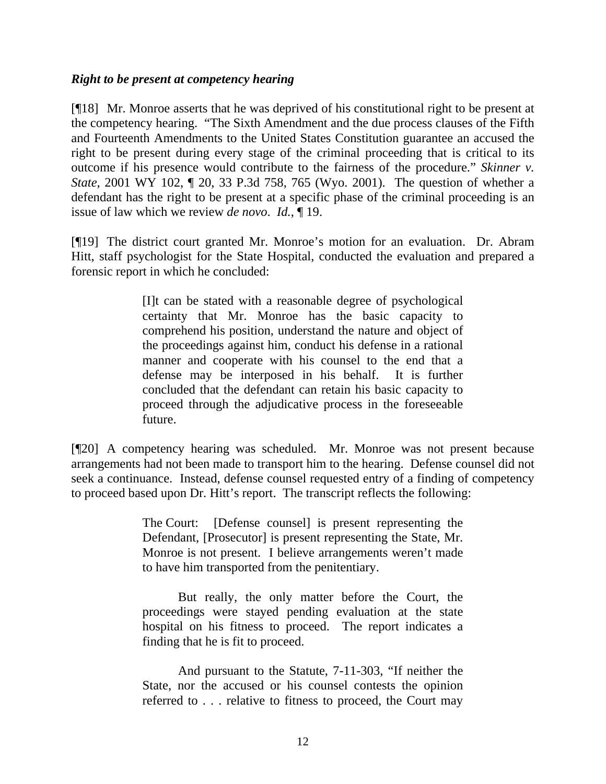### *Right to be present at competency hearing*

[¶18] Mr. Monroe asserts that he was deprived of his constitutional right to be present at the competency hearing. "The Sixth Amendment and the due process clauses of the Fifth and Fourteenth Amendments to the United States Constitution guarantee an accused the right to be present during every stage of the criminal proceeding that is critical to its outcome if his presence would contribute to the fairness of the procedure." *Skinner v. State*, 2001 WY 102, ¶ 20, 33 P.3d 758, 765 (Wyo. 2001). The question of whether a defendant has the right to be present at a specific phase of the criminal proceeding is an issue of law which we review *de novo*. *Id.*, ¶ 19.

[¶19] The district court granted Mr. Monroe's motion for an evaluation. Dr. Abram Hitt, staff psychologist for the State Hospital, conducted the evaluation and prepared a forensic report in which he concluded:

> [I]t can be stated with a reasonable degree of psychological certainty that Mr. Monroe has the basic capacity to comprehend his position, understand the nature and object of the proceedings against him, conduct his defense in a rational manner and cooperate with his counsel to the end that a defense may be interposed in his behalf. It is further concluded that the defendant can retain his basic capacity to proceed through the adjudicative process in the foreseeable future.

[¶20] A competency hearing was scheduled. Mr. Monroe was not present because arrangements had not been made to transport him to the hearing. Defense counsel did not seek a continuance. Instead, defense counsel requested entry of a finding of competency to proceed based upon Dr. Hitt's report. The transcript reflects the following:

> The Court: [Defense counsel] is present representing the Defendant, [Prosecutor] is present representing the State, Mr. Monroe is not present. I believe arrangements weren't made to have him transported from the penitentiary.

> But really, the only matter before the Court, the proceedings were stayed pending evaluation at the state hospital on his fitness to proceed. The report indicates a finding that he is fit to proceed.

> And pursuant to the Statute, 7-11-303, "If neither the State, nor the accused or his counsel contests the opinion referred to . . . relative to fitness to proceed, the Court may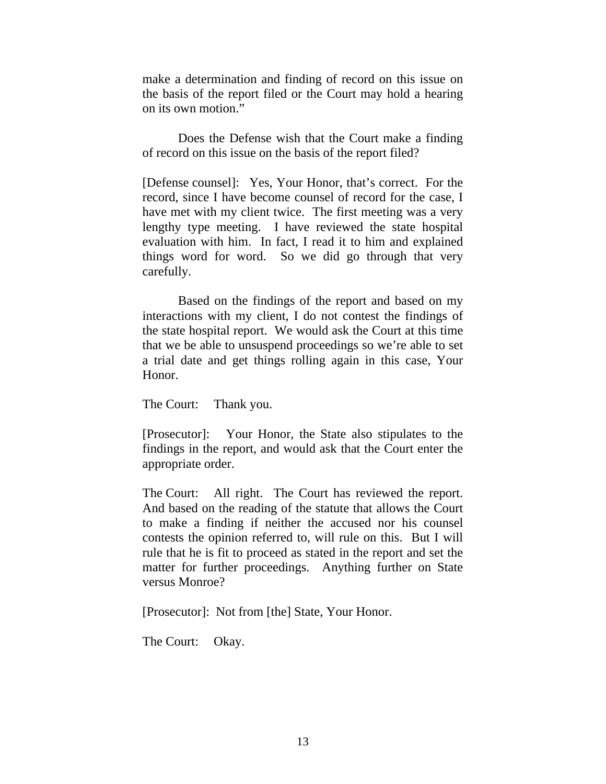make a determination and finding of record on this issue on the basis of the report filed or the Court may hold a hearing on its own motion."

 Does the Defense wish that the Court make a finding of record on this issue on the basis of the report filed?

[Defense counsel]: Yes, Your Honor, that's correct. For the record, since I have become counsel of record for the case, I have met with my client twice. The first meeting was a very lengthy type meeting. I have reviewed the state hospital evaluation with him. In fact, I read it to him and explained things word for word. So we did go through that very carefully.

 Based on the findings of the report and based on my interactions with my client, I do not contest the findings of the state hospital report. We would ask the Court at this time that we be able to unsuspend proceedings so we're able to set a trial date and get things rolling again in this case, Your Honor.

The Court: Thank you.

[Prosecutor]: Your Honor, the State also stipulates to the findings in the report, and would ask that the Court enter the appropriate order.

The Court: All right. The Court has reviewed the report. And based on the reading of the statute that allows the Court to make a finding if neither the accused nor his counsel contests the opinion referred to, will rule on this. But I will rule that he is fit to proceed as stated in the report and set the matter for further proceedings. Anything further on State versus Monroe?

[Prosecutor]: Not from [the] State, Your Honor.

The Court: Okay.